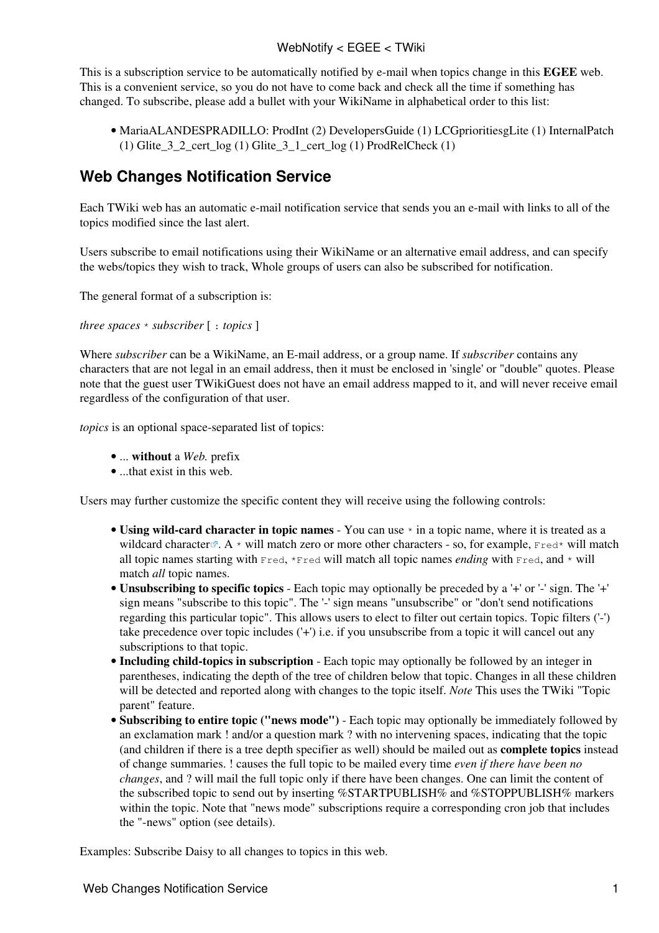## WebNotify < EGEE < TWiki

This is a subscription service to be automatically notified by e-mail when topics change in this **EGEE** web. This is a convenient service, so you do not have to come back and check all the time if something has changed. To subscribe, please add a bullet with your [WikiName](https://twiki.cern.ch/twiki/bin/view/TWiki/WikiName) in alphabetical order to this list:

[MariaALANDESPRADILLO:](https://twiki.cern.ch/twiki/bin/view/Main/MariaALANDESPRADILLO) [ProdInt](https://twiki.cern.ch/twiki/bin/view/EGEE/ProdInt) (2) [DevelopersGuide](https://twiki.cern.ch/twiki/bin/view/EGEE/DevelopersGuide) (1) [LCGprioritiesgLite](https://twiki.cern.ch/twiki/bin/view/EGEE/LCGprioritiesgLite) (1) [InternalPatch](https://twiki.cern.ch/twiki/bin/view/EGEE/InternalPatch) • (1) Glite  $3\ 2$  cert  $\log (1)$  Glite  $3\ 1$  cert  $\log (1)$  [ProdRelCheck](https://twiki.cern.ch/twiki/bin/view/EGEE/ProdRelCheck) (1)

## **Web Changes Notification Service**

Each TWiki web has an automatic e-mail notification service that sends you an e-mail with links to all of the topics modified since the last alert.

Users subscribe to email notifications using their [WikiName](https://twiki.cern.ch/twiki/bin/view/TWiki/WikiName) or an alternative email address, and can specify the webs/topics they wish to track, Whole groups of users can also be subscribed for notification.

The general format of a subscription is:

*three spaces* \* *subscriber* [ : *topics* ]

Where *subscriber* can be a [WikiName](https://twiki.cern.ch/twiki/bin/view/TWiki/WikiName), an E-mail address, or a group name. If *subscriber* contains any characters that are not legal in an email address, then it must be enclosed in 'single' or "double" quotes. Please note that the guest user TWikiGuest does not have an email address mapped to it, and will never receive email regardless of the configuration of that user.

*topics* is an optional space-separated list of topics:

- ... **without** a *Web.* prefix
- ...that exist in this web.

Users may further customize the specific content they will receive using the following controls:

- Using wild-card character in topic names You can use  $*$  in a topic name, where it is treated as a [wildcard character](http://en.wikipedia.org/wiki/Wildcard_character)  $\mathbb{R}$ . A \* will match zero or more other characters - so, for example, Fred\* will match all topic names starting with  $Fred$ ,  $*pred$  will match all topic names *ending* with  $Fred$ , and  $*$  will match *all* topic names.
- **Unsubscribing to specific topics** Each topic may optionally be preceded by a '+' or '-' sign. The '+' sign means "subscribe to this topic". The '-' sign means "unsubscribe" or "don't send notifications regarding this particular topic". This allows users to elect to filter out certain topics. Topic filters ('-') take precedence over topic includes ('+') i.e. if you unsubscribe from a topic it will cancel out any subscriptions to that topic.
- **Including child-topics in subscription** Each topic may optionally be followed by an integer in parentheses, indicating the depth of the tree of children below that topic. Changes in all these children will be detected and reported along with changes to the topic itself. *Note* This uses the TWiki "Topic parent" feature.
- **Subscribing to entire topic ("news mode")** Each topic may optionally be immediately followed by an exclamation mark ! and/or a question mark ? with no intervening spaces, indicating that the topic (and children if there is a tree depth specifier as well) should be mailed out as **complete topics** instead of change summaries. ! causes the full topic to be mailed every time *even if there have been no changes*, and ? will mail the full topic only if there have been changes. One can limit the content of the subscribed topic to send out by inserting %STARTPUBLISH% and %STOPPUBLISH% markers within the topic. Note that "news mode" subscriptions require a corresponding cron job that includes the "-news" option (see [details](https://twiki.cern.ch/twiki/bin/view/TWiki/MailerContrib#Setting_up_your_cron_job_s)).

Examples: Subscribe Daisy to all changes to topics in this web.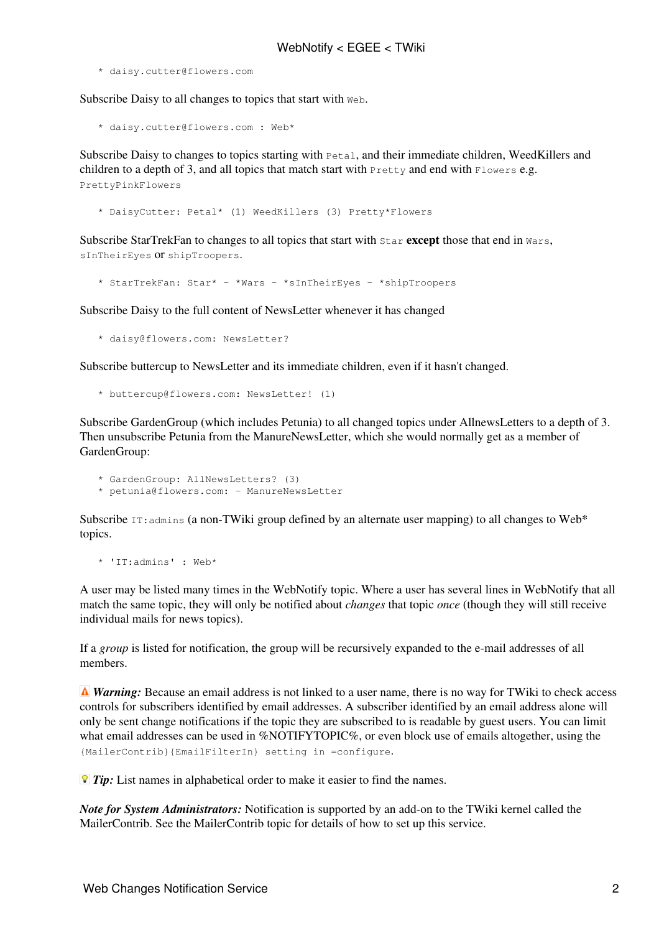\* daisy.cutter@flowers.com

Subscribe Daisy to all changes to topics that start with Web.

\* daisy.cutter@flowers.com : Web\*

Subscribe Daisy to changes to topics starting with  $Peta$ , and their immediate children, WeedKillers and children to a depth of 3, and all topics that match start with Pretty and end with Flowers e.g. PrettyPinkFlowers

\* DaisyCutter: Petal\* (1) WeedKillers (3) Pretty\*Flowers

Subscribe StarTrekFan to changes to all topics that start with Star **except** those that end in Wars, sInTheirEyes or shipTroopers.

\* StarTrekFan: Star\* - \*Wars - \*sInTheirEyes - \*shipTroopers

Subscribe Daisy to the full content of NewsLetter whenever it has changed

\* daisy@flowers.com: NewsLetter?

Subscribe buttercup to NewsLetter and its immediate children, even if it hasn't changed.

```
 * buttercup@flowers.com: NewsLetter! (1)
```
Subscribe GardenGroup (which includes Petunia) to all changed topics under AllnewsLetters to a depth of 3. Then unsubscribe Petunia from the ManureNewsLetter, which she would normally get as a member of [GardenGroup](https://twiki.cern.ch/twiki/bin/edit/TWiki/GardenGroup?topicparent=EGEE.WebNotify;nowysiwyg=1):

```
 * GardenGroup: AllNewsLetters? (3)
* petunia@flowers.com: - ManureNewsLetter
```
Subscribe  $IT:$  admins (a non-TWiki group defined by an alternate user mapping) to all changes to Web\* topics.

\* 'IT:admins' : Web\*

A user may be listed many times in the WebNotify topic. Where a user has several lines in WebNotify that all match the same topic, they will only be notified about *changes* that topic *once* (though they will still receive individual mails for news topics).

If a *group* is listed for notification, the group will be recursively expanded to the e-mail addresses of all members.

*A Warning:* Because an email address is not linked to a user name, there is no way for TWiki to check access controls for subscribers identified by email addresses. A subscriber identified by an email address alone will only be sent change notifications if the topic they are subscribed to is readable by guest users. You can limit what email addresses can be used in %NOTIFYTOPIC%, or even block use of emails altogether, using the {MailerContrib}{EmailFilterIn} setting in =configure.

*Tip:* List names in alphabetical order to make it easier to find the names.

*Note for System Administrators:* Notification is supported by an add-on to the TWiki kernel called the MailerContrib. See the [MailerContrib](https://twiki.cern.ch/twiki/bin/view/TWiki/MailerContrib) topic for details of how to set up this service.